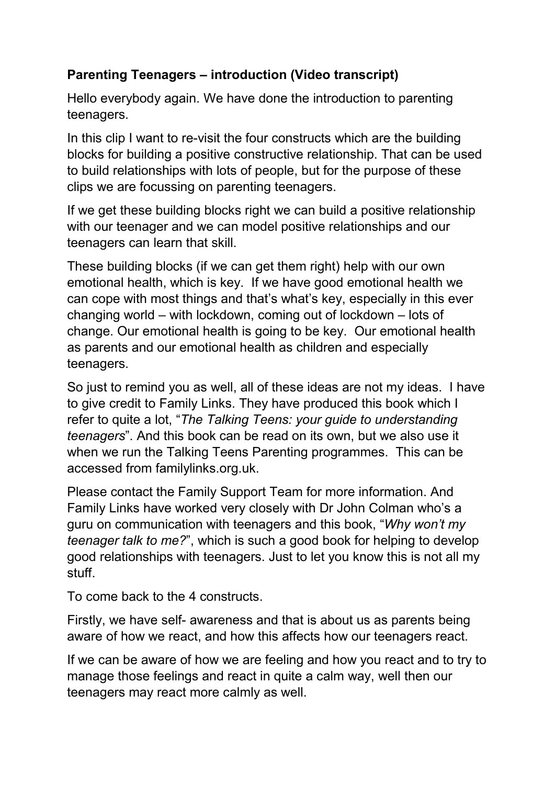## **Parenting Teenagers – introduction (Video transcript)**

Hello everybody again. We have done the introduction to parenting teenagers.

In this clip I want to re-visit the four constructs which are the building blocks for building a positive constructive relationship. That can be used to build relationships with lots of people, but for the purpose of these clips we are focussing on parenting teenagers.

If we get these building blocks right we can build a positive relationship with our teenager and we can model positive relationships and our teenagers can learn that skill.

These building blocks (if we can get them right) help with our own emotional health, which is key. If we have good emotional health we can cope with most things and that's what's key, especially in this ever changing world – with lockdown, coming out of lockdown – lots of change. Our emotional health is going to be key. Our emotional health as parents and our emotional health as children and especially teenagers.

So just to remind you as well, all of these ideas are not my ideas. I have to give credit to Family Links. They have produced this book which I refer to quite a lot, "*The Talking Teens: your guide to understanding teenagers*". And this book can be read on its own, but we also use it when we run the Talking Teens Parenting programmes. This can be accessed from familylinks.org.uk.

Please contact the Family Support Team for more information. And Family Links have worked very closely with Dr John Colman who's a guru on communication with teenagers and this book, "*Why won't my teenager talk to me?*", which is such a good book for helping to develop good relationships with teenagers. Just to let you know this is not all my stuff.

To come back to the 4 constructs.

Firstly, we have self- awareness and that is about us as parents being aware of how we react, and how this affects how our teenagers react.

If we can be aware of how we are feeling and how you react and to try to manage those feelings and react in quite a calm way, well then our teenagers may react more calmly as well.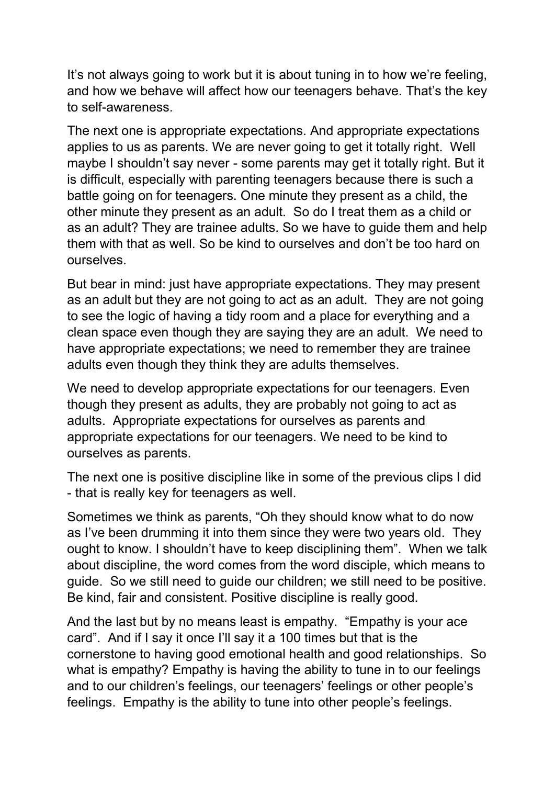It's not always going to work but it is about tuning in to how we're feeling, and how we behave will affect how our teenagers behave. That's the key to self-awareness.

The next one is appropriate expectations. And appropriate expectations applies to us as parents. We are never going to get it totally right. Well maybe I shouldn't say never - some parents may get it totally right. But it is difficult, especially with parenting teenagers because there is such a battle going on for teenagers. One minute they present as a child, the other minute they present as an adult. So do I treat them as a child or as an adult? They are trainee adults. So we have to guide them and help them with that as well. So be kind to ourselves and don't be too hard on ourselves.

But bear in mind: just have appropriate expectations. They may present as an adult but they are not going to act as an adult. They are not going to see the logic of having a tidy room and a place for everything and a clean space even though they are saying they are an adult. We need to have appropriate expectations; we need to remember they are trainee adults even though they think they are adults themselves.

We need to develop appropriate expectations for our teenagers. Even though they present as adults, they are probably not going to act as adults. Appropriate expectations for ourselves as parents and appropriate expectations for our teenagers. We need to be kind to ourselves as parents.

The next one is positive discipline like in some of the previous clips I did - that is really key for teenagers as well.

Sometimes we think as parents, "Oh they should know what to do now as I've been drumming it into them since they were two years old. They ought to know. I shouldn't have to keep disciplining them". When we talk about discipline, the word comes from the word disciple, which means to guide. So we still need to guide our children; we still need to be positive. Be kind, fair and consistent. Positive discipline is really good.

And the last but by no means least is empathy. "Empathy is your ace card". And if I say it once I'll say it a 100 times but that is the cornerstone to having good emotional health and good relationships. So what is empathy? Empathy is having the ability to tune in to our feelings and to our children's feelings, our teenagers' feelings or other people's feelings. Empathy is the ability to tune into other people's feelings.